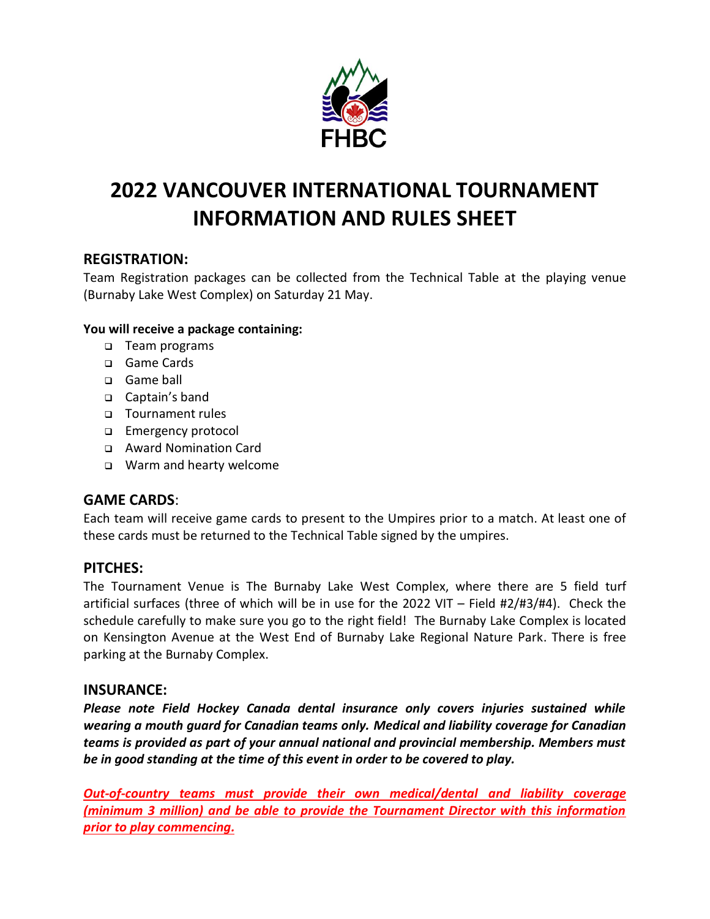

# **2022 VANCOUVER INTERNATIONAL TOURNAMENT INFORMATION AND RULES SHEET**

# **REGISTRATION:**

Team Registration packages can be collected from the Technical Table at the playing venue (Burnaby Lake West Complex) on Saturday 21 May.

#### **You will receive a package containing:**

- ❑ Team programs
- ❑ Game Cards
- ❑ Game ball
- ❑ Captain's band
- ❑ Tournament rules
- ❑ Emergency protocol
- ❑ Award Nomination Card
- ❑ Warm and hearty welcome

# **GAME CARDS**:

Each team will receive game cards to present to the Umpires prior to a match. At least one of these cards must be returned to the Technical Table signed by the umpires.

## **PITCHES:**

The Tournament Venue is The Burnaby Lake West Complex, where there are 5 field turf artificial surfaces (three of which will be in use for the 2022 VIT – Field #2/#3/#4). Check the schedule carefully to make sure you go to the right field! The Burnaby Lake Complex is located on Kensington Avenue at the West End of Burnaby Lake Regional Nature Park. There is free parking at the Burnaby Complex.

## **INSURANCE:**

*Please note Field Hockey Canada dental insurance only covers injuries sustained while wearing a mouth guard for Canadian teams only. Medical and liability coverage for Canadian teams is provided as part of your annual national and provincial membership. Members must be in good standing at the time of this event in order to be covered to play.*

*Out-of-country teams must provide their own medical/dental and liability coverage (minimum 3 million) and be able to provide the Tournament Director with this information prior to play commencing.*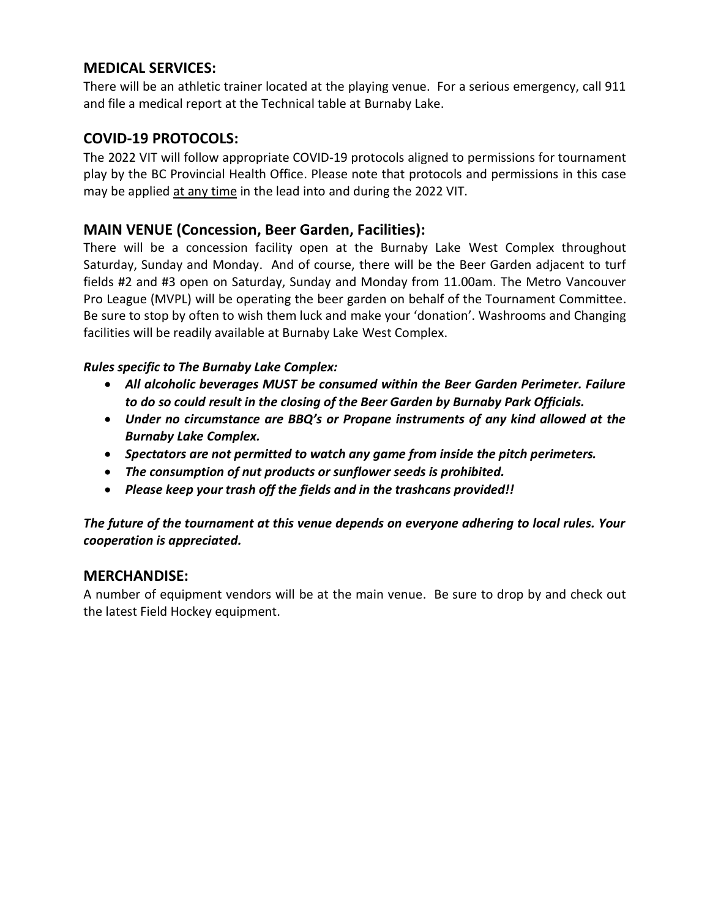## **MEDICAL SERVICES:**

There will be an athletic trainer located at the playing venue. For a serious emergency, call 911 and file a medical report at the Technical table at Burnaby Lake.

### **COVID-19 PROTOCOLS:**

The 2022 VIT will follow appropriate COVID-19 protocols aligned to permissions for tournament play by the BC Provincial Health Office. Please note that protocols and permissions in this case may be applied at any time in the lead into and during the 2022 VIT.

#### **MAIN VENUE (Concession, Beer Garden, Facilities):**

There will be a concession facility open at the Burnaby Lake West Complex throughout Saturday, Sunday and Monday. And of course, there will be the Beer Garden adjacent to turf fields #2 and #3 open on Saturday, Sunday and Monday from 11.00am. The Metro Vancouver Pro League (MVPL) will be operating the beer garden on behalf of the Tournament Committee. Be sure to stop by often to wish them luck and make your 'donation'. Washrooms and Changing facilities will be readily available at Burnaby Lake West Complex.

#### *Rules specific to The Burnaby Lake Complex:*

- *All alcoholic beverages MUST be consumed within the Beer Garden Perimeter. Failure to do so could result in the closing of the Beer Garden by Burnaby Park Officials.*
- *Under no circumstance are BBQ's or Propane instruments of any kind allowed at the Burnaby Lake Complex.*
- *Spectators are not permitted to watch any game from inside the pitch perimeters.*
- *The consumption of nut products or sunflower seeds is prohibited.*
- *Please keep your trash off the fields and in the trashcans provided!!*

*The future of the tournament at this venue depends on everyone adhering to local rules. Your cooperation is appreciated.*

#### **MERCHANDISE:**

A number of equipment vendors will be at the main venue. Be sure to drop by and check out the latest Field Hockey equipment.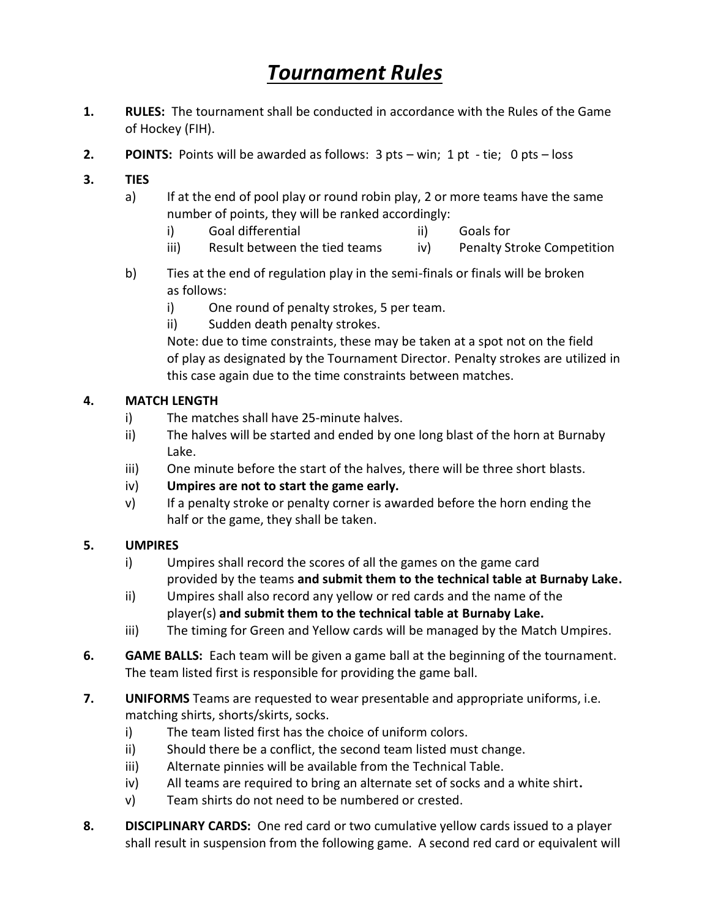# *Tournament Rules*

- **1. RULES:** The tournament shall be conducted in accordance with the Rules of the Game of Hockey (FIH).
- **2. POINTS:** Points will be awarded as follows: 3 pts win; 1 pt tie; 0 pts loss
- **3. TIES**
	- a) If at the end of pool play or round robin play, 2 or more teams have the same number of points, they will be ranked accordingly:
		- i) Goal differential ii) Goals for
		- iii) Result between the tied teams iv) Penalty Stroke Competition
	- b) Ties at the end of regulation play in the semi-finals or finals will be broken as follows:
		- i) One round of penalty strokes, 5 per team.
		- ii) Sudden death penalty strokes.

Note: due to time constraints, these may be taken at a spot not on the field of play as designated by the Tournament Director. Penalty strokes are utilized in this case again due to the time constraints between matches.

#### **4. MATCH LENGTH**

- i) The matches shall have 25-minute halves.
- ii) The halves will be started and ended by one long blast of the horn at Burnaby Lake.
- iii) One minute before the start of the halves, there will be three short blasts.
- iv) **Umpires are not to start the game early.**
- v) If a penalty stroke or penalty corner is awarded before the horn ending the half or the game, they shall be taken.

#### **5. UMPIRES**

- i) Umpires shall record the scores of all the games on the game card provided by the teams **and submit them to the technical table at Burnaby Lake.**
- ii) Umpires shall also record any yellow or red cards and the name of the player(s) **and submit them to the technical table at Burnaby Lake.**
- iii) The timing for Green and Yellow cards will be managed by the Match Umpires.
- **6. GAME BALLS:** Each team will be given a game ball at the beginning of the tournament. The team listed first is responsible for providing the game ball.
- **7. UNIFORMS** Teams are requested to wear presentable and appropriate uniforms, i.e. matching shirts, shorts/skirts, socks.
	- i) The team listed first has the choice of uniform colors.
	- ii) Should there be a conflict, the second team listed must change.
	- iii) Alternate pinnies will be available from the Technical Table.
	- iv) All teams are required to bring an alternate set of socks and a white shirt**.**
	- v) Team shirts do not need to be numbered or crested.
- **8. DISCIPLINARY CARDS:** One red card or two cumulative yellow cards issued to a player shall result in suspension from the following game. A second red card or equivalent will